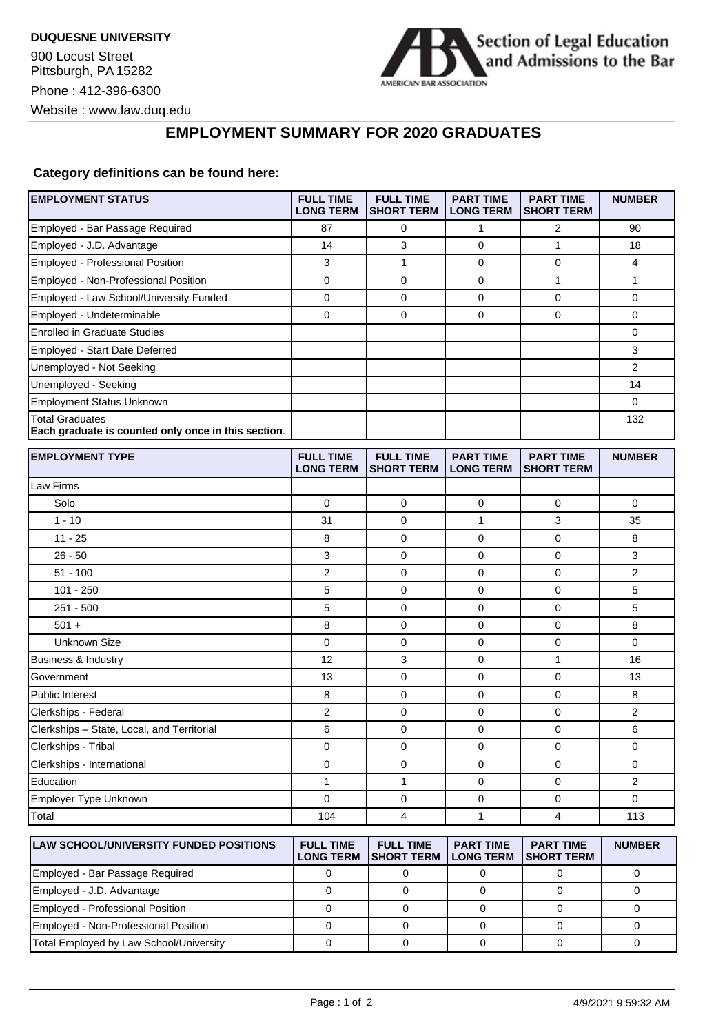

## **EMPLOYMENT SUMMARY FOR 2020 GRADUATES**

## **Category definitions can be found [here:](https://www.americanbar.org/content/dam/aba/administrative/legal_education_and_admissions_to_the_bar/Questionnaires/employment-protocol-class-of-2020.pdf)**

| <b>EMPLOYMENT STATUS</b>                                                      | <b>FULL TIME</b><br><b>LONG TERM</b> | <b>FULL TIME</b><br><b>SHORT TERM</b> | <b>PART TIME</b><br><b>LONG TERM</b> | <b>PART TIME</b><br><b>SHORT TERM</b> | <b>NUMBER</b> |
|-------------------------------------------------------------------------------|--------------------------------------|---------------------------------------|--------------------------------------|---------------------------------------|---------------|
| Employed - Bar Passage Required                                               | 87                                   | 0                                     | $\mathbf{1}$                         | $\overline{2}$                        | 90            |
| Employed - J.D. Advantage                                                     | 14                                   | 3                                     | $\mathbf 0$                          | 1                                     | 18            |
| Employed - Professional Position                                              | 3                                    | 1                                     | 0                                    | 0                                     | 4             |
| Employed - Non-Professional Position                                          | 0                                    | $\mathbf 0$                           | 0                                    | $\mathbf{1}$                          | 1             |
| Employed - Law School/University Funded                                       | 0                                    | $\mathbf 0$                           | 0                                    | $\mathbf 0$                           | 0             |
| Employed - Undeterminable                                                     | 0                                    | 0                                     | 0                                    | 0                                     | 0             |
| <b>Enrolled in Graduate Studies</b>                                           |                                      |                                       |                                      |                                       | 0             |
| Employed - Start Date Deferred                                                |                                      |                                       |                                      |                                       | 3             |
| Unemployed - Not Seeking                                                      |                                      |                                       |                                      |                                       | 2             |
| Unemployed - Seeking                                                          |                                      |                                       |                                      |                                       | 14            |
| <b>Employment Status Unknown</b>                                              |                                      |                                       |                                      |                                       | 0             |
| <b>Total Graduates</b><br>Each graduate is counted only once in this section. |                                      |                                       |                                      |                                       | 132           |
| <b>EMPLOYMENT TYPE</b>                                                        | <b>FULL TIME</b><br><b>LONG TERM</b> | <b>FULL TIME</b><br><b>SHORT TERM</b> | <b>PART TIME</b><br><b>LONG TERM</b> | <b>PART TIME</b><br><b>SHORT TERM</b> | <b>NUMBER</b> |
| Law Firms                                                                     |                                      |                                       |                                      |                                       |               |
| Solo                                                                          | 0                                    | $\mathbf 0$                           | 0                                    | $\mathbf 0$                           | 0             |
| $1 - 10$                                                                      | 31                                   | 0                                     | 1                                    | 3                                     | 35            |
| $11 - 25$                                                                     | 8                                    | 0                                     | 0                                    | $\mathbf 0$                           | 8             |
| $26 - 50$                                                                     | 3                                    | $\mathbf 0$                           | 0                                    | $\mathbf 0$                           | 3             |
| $51 - 100$                                                                    | 2                                    | 0                                     | 0                                    | 0                                     | 2             |
| $101 - 250$                                                                   | 5                                    | $\mathbf 0$                           | 0                                    | $\mathbf 0$                           | 5             |
| $251 - 500$                                                                   | 5                                    | 0                                     | 0                                    | 0                                     | 5             |
| $501 +$                                                                       | 8                                    | $\mathbf 0$                           | 0                                    | $\mathbf 0$                           | 8             |
| Unknown Size                                                                  | 0                                    | 0                                     | 0                                    | 0                                     | 0             |
| Business & Industry                                                           | 12                                   | 3                                     | 0                                    | $\mathbf{1}$                          | 16            |
| Government                                                                    | 13                                   | 0                                     | 0                                    | 0                                     | 13            |
| <b>Public Interest</b>                                                        | 8                                    | 0                                     | 0                                    | $\mathbf 0$                           | 8             |
| Clerkships - Federal                                                          | 2                                    | $\mathbf 0$                           | 0                                    | $\mathbf 0$                           | 2             |
| Clerkships - State, Local, and Territorial                                    | 6                                    | 0                                     | 0                                    | 0                                     | 6             |
| Clerkships - Tribal                                                           | 0                                    | 0                                     | 0                                    | $\mathbf 0$                           | 0             |
| Clerkships - International                                                    | 0                                    | $\mathbf 0$                           | 0                                    | $\mathbf 0$                           | 0             |
| Education                                                                     | 1                                    | 1                                     | 0                                    | 0                                     | 2             |
| Employer Type Unknown                                                         | $\Omega$                             | $\mathbf 0$                           | 0                                    | $\mathbf 0$                           | 0             |
| Total                                                                         | 104                                  | 4                                     | $\mathbf{1}$                         | $\overline{4}$                        | 113           |
| <b>LAW SCHOOL/UNIVERSITY FUNDED POSITIONS</b>                                 | <b>FULL TIME</b><br><b>LONG TERM</b> | <b>FULL TIME</b><br><b>SHORT TERM</b> | <b>PART TIME</b><br><b>LONG TERM</b> | <b>PART TIME</b><br><b>SHORT TERM</b> | <b>NUMBER</b> |
| Employed - Bar Passage Required                                               | 0                                    | 0                                     | $\mathbf 0$                          | 0                                     | 0             |
| Employed - J.D. Advantage                                                     | $\mathbf 0$                          | $\pmb{0}$                             | $\pmb{0}$                            | $\mathsf{O}\xspace$                   | $\mathbf 0$   |

Employed - Professional Position 0 0 0 0 0 Employed - Non-Professional Position 0 0 0 0 0 Total Employed by Law School/University 0 0 0 0 0